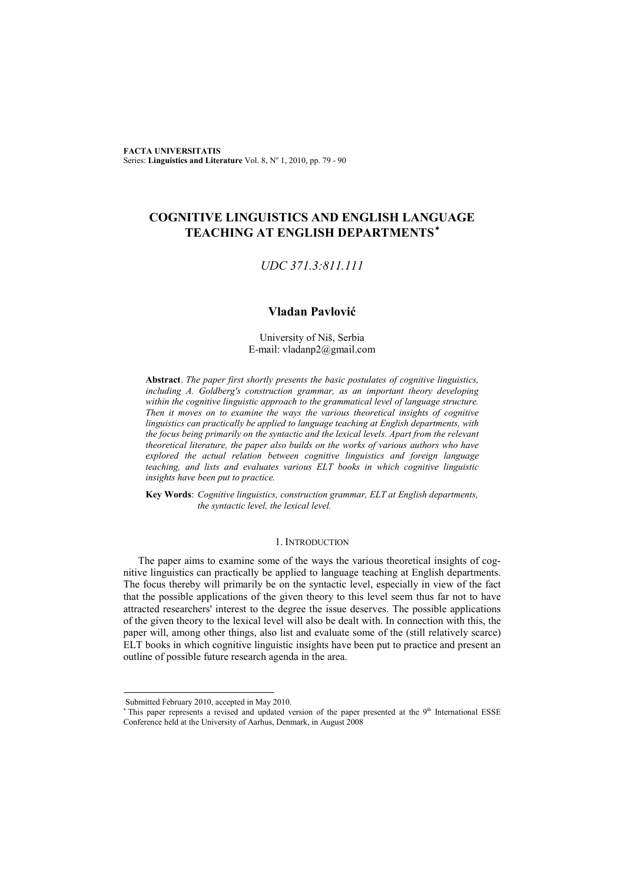**FACTA UNIVERSITATIS** Series: Linguistics and Literature Vol. 8, Nº 1, 2010, pp. 79 - 90

# **COGNITIVE LINGUISTICS AND ENGLISH LANGUAGE TEACHING AT ENGLISH DEPARTMENTS** ∗

## *UDC 371.3:811.111*

## **Vladan Pavlović**

University of Niš, Serbia E-mail: vladanp2@gmail.com

**Abstract**. *The paper first shortly presents the basic postulates of cognitive linguistics, including A. Goldberg's construction grammar, as an important theory developing within the cognitive linguistic approach to the grammatical level of language structure. Then it moves on to examine the ways the various theoretical insights of cognitive linguistics can practically be applied to language teaching at English departments, with the focus being primarily on the syntactic and the lexical levels. Apart from the relevant theoretical literature, the paper also builds on the works of various authors who have explored the actual relation between cognitive linguistics and foreign language teaching, and lists and evaluates various ELT books in which cognitive linguistic insights have been put to practice.* 

**Key Words**: *Cognitive linguistics, construction grammar, ELT at English departments, the syntactic level, the lexical level.* 

### 1. INTRODUCTION

The paper aims to examine some of the ways the various theoretical insights of cognitive linguistics can practically be applied to language teaching at English departments. The focus thereby will primarily be on the syntactic level, especially in view of the fact that the possible applications of the given theory to this level seem thus far not to have attracted researchers' interest to the degree the issue deserves. The possible applications of the given theory to the lexical level will also be dealt with. In connection with this, the paper will, among other things, also list and evaluate some of the (still relatively scarce) ELT books in which cognitive linguistic insights have been put to practice and present an outline of possible future research agenda in the area.

l

Submitted February 2010, accepted in May 2010.

<sup>\*</sup> This paper represents a revised and updated version of the paper presented at the 9<sup>th</sup> International ESSE Conference held at the University of Aarhus, Denmark, in August 2008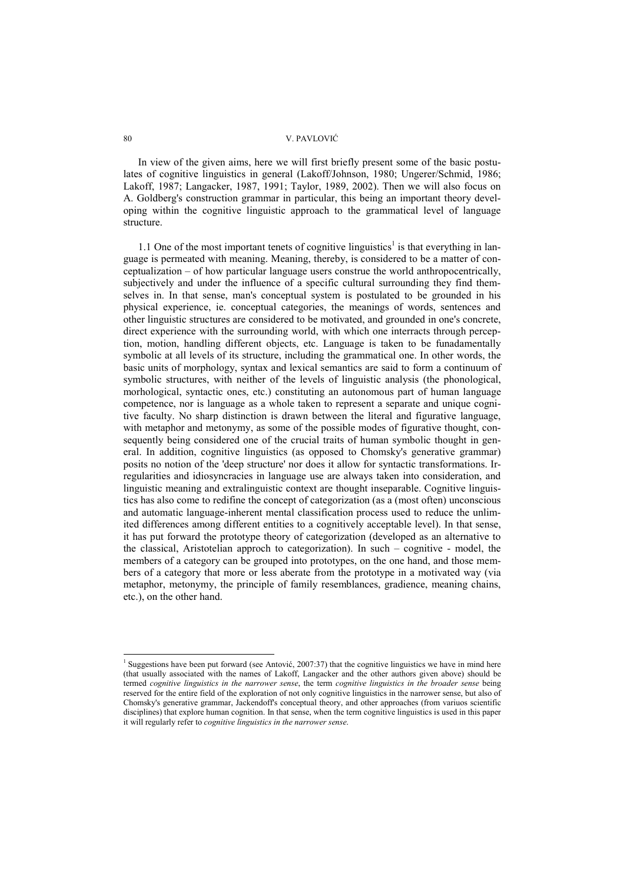In view of the given aims, here we will first briefly present some of the basic postulates of cognitive linguistics in general (Lakoff/Johnson, 1980; Ungerer/Schmid, 1986; Lakoff, 1987; Langacker, 1987, 1991; Taylor, 1989, 2002). Then we will also focus on A. Goldberg's construction grammar in particular, this being an important theory developing within the cognitive linguistic approach to the grammatical level of language structure.

1.1 One of the most important tenets of cognitive linguistics<sup>1</sup> is that everything in language is permeated with meaning. Meaning, thereby, is considered to be a matter of conceptualization – of how particular language users construe the world anthropocentrically, subjectively and under the influence of a specific cultural surrounding they find themselves in. In that sense, man's conceptual system is postulated to be grounded in his physical experience, ie. conceptual categories, the meanings of words, sentences and other linguistic structures are considered to be motivated, and grounded in one's concrete, direct experience with the surrounding world, with which one interracts through perception, motion, handling different objects, etc. Language is taken to be funadamentally symbolic at all levels of its structure, including the grammatical one. In other words, the basic units of morphology, syntax and lexical semantics are said to form a continuum of symbolic structures, with neither of the levels of linguistic analysis (the phonological, morhological, syntactic ones, etc.) constituting an autonomous part of human language competence, nor is language as a whole taken to represent a separate and unique cognitive faculty. No sharp distinction is drawn between the literal and figurative language, with metaphor and metonymy, as some of the possible modes of figurative thought, consequently being considered one of the crucial traits of human symbolic thought in general. In addition, cognitive linguistics (as opposed to Chomsky's generative grammar) posits no notion of the 'deep structure' nor does it allow for syntactic transformations. Irregularities and idiosyncracies in language use are always taken into consideration, and linguistic meaning and extralinguistic context are thought inseparable. Cognitive linguistics has also come to redifine the concept of categorization (as a (most often) unconscious and automatic language-inherent mental classification process used to reduce the unlimited differences among different entities to a cognitively acceptable level). In that sense, it has put forward the prototype theory of categorization (developed as an alternative to the classical, Aristotelian approch to categorization). In such – cognitive - model, the members of a category can be grouped into prototypes, on the one hand, and those members of a category that more or less aberate from the prototype in a motivated way (via metaphor, metonymy, the principle of family resemblances, gradience, meaning chains, etc.), on the other hand.

l

<sup>&</sup>lt;sup>1</sup> Suggestions have been put forward (see Antović, 2007:37) that the cognitive linguistics we have in mind here (that usually associated with the names of Lakoff, Langacker and the other authors given above) should be termed *cognitive linguistics in the narrower sense*, the term *cognitive linguistics in the broader sense* being reserved for the entire field of the exploration of not only cognitive linguistics in the narrower sense, but also of Chomsky's generative grammar, Jackendoff's conceptual theory, and other approaches (from variuos scientific disciplines) that explore human cognition. In that sense, when the term cognitive linguistics is used in this paper it will regularly refer to *cognitive linguistics in the narrower sense*.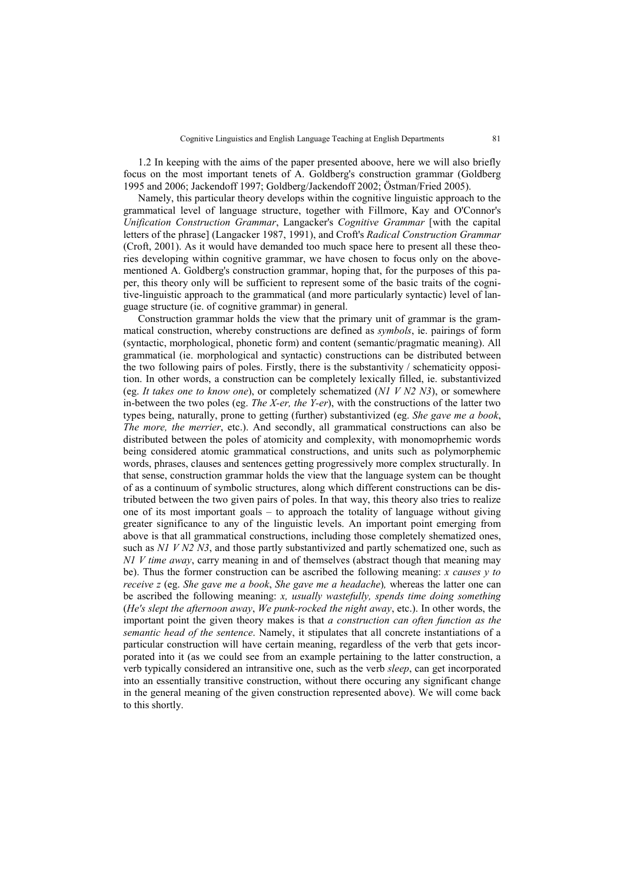1.2 In keeping with the aims of the paper presented aboove, here we will also briefly focus on the most important tenets of A. Goldberg's construction grammar (Goldberg 1995 and 2006; Jackendoff 1997; Goldberg/Jackendoff 2002; Östman/Fried 2005).

Namely, this particular theory develops within the cognitive linguistic approach to the grammatical level of language structure, together with Fillmore, Kay and O'Connor's *Unification Construction Grammar*, Langacker's *Cognitive Grammar* [with the capital letters of the phrase] (Langacker 1987, 1991), and Croft's *Radical Construction Grammar* (Croft, 2001). As it would have demanded too much space here to present all these theories developing within cognitive grammar, we have chosen to focus only on the abovementioned A. Goldberg's construction grammar, hoping that, for the purposes of this paper, this theory only will be sufficient to represent some of the basic traits of the cognitive-linguistic approach to the grammatical (and more particularly syntactic) level of language structure (ie. of cognitive grammar) in general.

Construction grammar holds the view that the primary unit of grammar is the grammatical construction, whereby constructions are defined as *symbols*, ie. pairings of form (syntactic, morphological, phonetic form) and content (semantic/pragmatic meaning). All grammatical (ie. morphological and syntactic) constructions can be distributed between the two following pairs of poles. Firstly, there is the substantivity / schematicity opposition. In other words, a construction can be completely lexically filled, ie. substantivized (eg. *It takes one to know one*), or completely schematized (*N1 V N2 N3*), or somewhere in-between the two poles (eg. *The X-er, the Y-er*), with the constructions of the latter two types being, naturally, prone to getting (further) substantivized (eg. *She gave me a book*, *The more, the merrier*, etc.). And secondly, all grammatical constructions can also be distributed between the poles of atomicity and complexity, with monomoprhemic words being considered atomic grammatical constructions, and units such as polymorphemic words, phrases, clauses and sentences getting progressively more complex structurally. In that sense, construction grammar holds the view that the language system can be thought of as a continuum of symbolic structures, along which different constructions can be distributed between the two given pairs of poles. In that way, this theory also tries to realize one of its most important goals – to approach the totality of language without giving greater significance to any of the linguistic levels. An important point emerging from above is that all grammatical constructions, including those completely shematized ones, such as *N1 V N2 N3*, and those partly substantivized and partly schematized one, such as *N1 V time away*, carry meaning in and of themselves (abstract though that meaning may be). Thus the former construction can be ascribed the following meaning: *x causes y to receive z* (eg. *She gave me a book*, *She gave me a headache*)*,* whereas the latter one can be ascribed the following meaning: *x, usually wastefully, spends time doing something*  (*He's slept the afternoon away*, *We punk-rocked the night away*, etc.). In other words, the important point the given theory makes is that *a construction can often function as the semantic head of the sentence*. Namely, it stipulates that all concrete instantiations of a particular construction will have certain meaning, regardless of the verb that gets incorporated into it (as we could see from an example pertaining to the latter construction, a verb typically considered an intransitive one, such as the verb *sleep*, can get incorporated into an essentially transitive construction, without there occuring any significant change in the general meaning of the given construction represented above). We will come back to this shortly.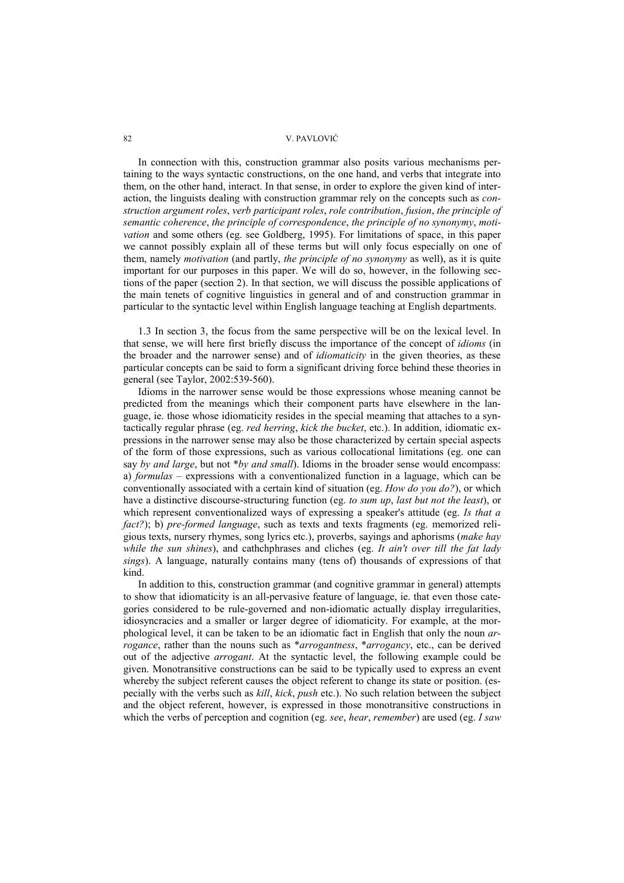In connection with this, construction grammar also posits various mechanisms pertaining to the ways syntactic constructions, on the one hand, and verbs that integrate into them, on the other hand, interact. In that sense, in order to explore the given kind of interaction, the linguists dealing with construction grammar rely on the concepts such as *construction argument roles*, *verb participant roles*, *role contribution*, *fusion*, *the principle of semantic coherence*, *the principle of correspondence*, *the principle of no synonymy*, *motivation* and some others (eg. see Goldberg, 1995). For limitations of space, in this paper we cannot possibly explain all of these terms but will only focus especially on one of them, namely *motivation* (and partly, *the principle of no synonymy* as well), as it is quite important for our purposes in this paper. We will do so, however, in the following sections of the paper (section 2). In that section, we will discuss the possible applications of the main tenets of cognitive linguistics in general and of and construction grammar in particular to the syntactic level within English language teaching at English departments.

1.3 In section 3, the focus from the same perspective will be on the lexical level. In that sense, we will here first briefly discuss the importance of the concept of *idioms* (in the broader and the narrower sense) and of *idiomaticity* in the given theories, as these particular concepts can be said to form a significant driving force behind these theories in general (see Taylor, 2002:539-560).

Idioms in the narrower sense would be those expressions whose meaning cannot be predicted from the meanings which their component parts have elsewhere in the language, ie. those whose idiomaticity resides in the special meaming that attaches to a syntactically regular phrase (eg. *red herring*, *kick the bucket*, etc.). In addition, idiomatic expressions in the narrower sense may also be those characterized by certain special aspects of the form of those expressions, such as various collocational limitations (eg. one can say *by and large*, but not \**by and small*). Idioms in the broader sense would encompass: a) *formulas* – expressions with a conventionalized function in a laguage, which can be conventionally associated with a certain kind of situation (eg. *How do you do?*), or which have a distinctive discourse-structuring function (eg. *to sum up*, *last but not the least*), or which represent conventionalized ways of expressing a speaker's attitude (eg. *Is that a fact?*); b) *pre-formed language*, such as texts and texts fragments (eg. memorized religious texts, nursery rhymes, song lyrics etc.), proverbs, sayings and aphorisms (*make hay while the sun shines*), and cathchphrases and cliches (eg. *It ain't over till the fat lady sings*). A language, naturally contains many (tens of) thousands of expressions of that kind.

In addition to this, construction grammar (and cognitive grammar in general) attempts to show that idiomaticity is an all-pervasive feature of language, ie. that even those categories considered to be rule-governed and non-idiomatic actually display irregularities, idiosyncracies and a smaller or larger degree of idiomaticity. For example, at the morphological level, it can be taken to be an idiomatic fact in English that only the noun *arrogance*, rather than the nouns such as \**arrogantness*, \**arrogancy*, etc., can be derived out of the adjective *arrogant*. At the syntactic level, the following example could be given. Monotransitive constructions can be said to be typically used to express an event whereby the subject referent causes the object referent to change its state or position. (especially with the verbs such as *kill*, *kick*, *push* etc.). No such relation between the subject and the object referent, however, is expressed in those monotransitive constructions in which the verbs of perception and cognition (eg. *see*, *hear*, *remember*) are used (eg. *I saw*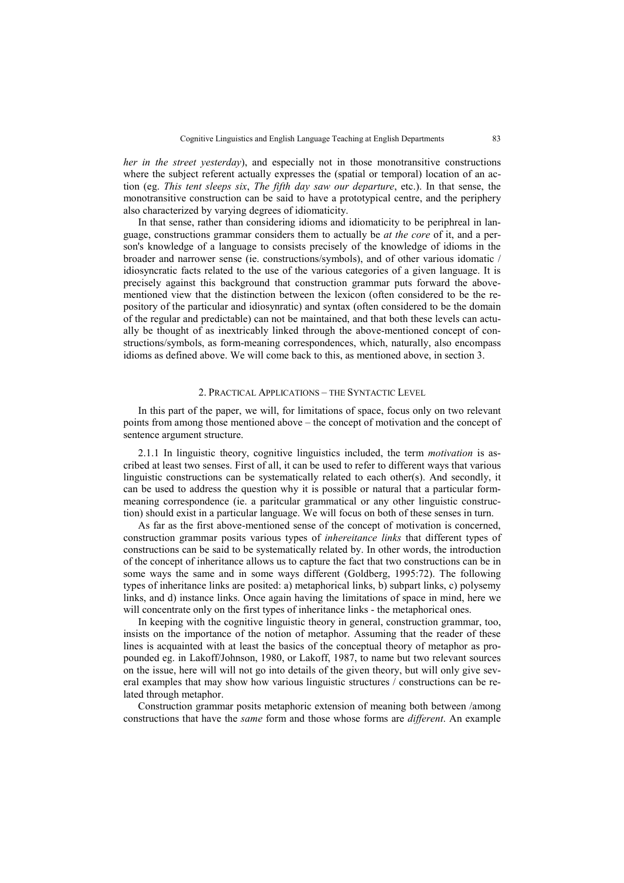*her in the street yesterday*), and especially not in those monotransitive constructions where the subject referent actually expresses the (spatial or temporal) location of an action (eg. *This tent sleeps six*, *The fifth day saw our departure*, etc.). In that sense, the monotransitive construction can be said to have a prototypical centre, and the periphery also characterized by varying degrees of idiomaticity.

In that sense, rather than considering idioms and idiomaticity to be periphreal in language, constructions grammar considers them to actually be *at the core* of it, and a person's knowledge of a language to consists precisely of the knowledge of idioms in the broader and narrower sense (ie. constructions/symbols), and of other various idomatic / idiosyncratic facts related to the use of the various categories of a given language. It is precisely against this background that construction grammar puts forward the abovementioned view that the distinction between the lexicon (often considered to be the repository of the particular and idiosynratic) and syntax (often considered to be the domain of the regular and predictable) can not be maintained, and that both these levels can actually be thought of as inextricably linked through the above-mentioned concept of constructions/symbols, as form-meaning correspondences, which, naturally, also encompass idioms as defined above. We will come back to this, as mentioned above, in section 3.

#### 2. PRACTICAL APPLICATIONS – THE SYNTACTIC LEVEL

In this part of the paper, we will, for limitations of space, focus only on two relevant points from among those mentioned above – the concept of motivation and the concept of sentence argument structure.

2.1.1 In linguistic theory, cognitive linguistics included, the term *motivation* is ascribed at least two senses. First of all, it can be used to refer to different ways that various linguistic constructions can be systematically related to each other(s). And secondly, it can be used to address the question why it is possible or natural that a particular formmeaning correspondence (ie. a paritcular grammatical or any other linguistic construction) should exist in a particular language. We will focus on both of these senses in turn.

As far as the first above-mentioned sense of the concept of motivation is concerned, construction grammar posits various types of *inhereitance links* that different types of constructions can be said to be systematically related by. In other words, the introduction of the concept of inheritance allows us to capture the fact that two constructions can be in some ways the same and in some ways different (Goldberg, 1995:72). The following types of inheritance links are posited: a) metaphorical links, b) subpart links, c) polysemy links, and d) instance links. Once again having the limitations of space in mind, here we will concentrate only on the first types of inheritance links - the metaphorical ones.

In keeping with the cognitive linguistic theory in general, construction grammar, too, insists on the importance of the notion of metaphor. Assuming that the reader of these lines is acquainted with at least the basics of the conceptual theory of metaphor as propounded eg. in Lakoff/Johnson, 1980, or Lakoff, 1987, to name but two relevant sources on the issue, here will will not go into details of the given theory, but will only give several examples that may show how various linguistic structures / constructions can be related through metaphor.

Construction grammar posits metaphoric extension of meaning both between /among constructions that have the *same* form and those whose forms are *different*. An example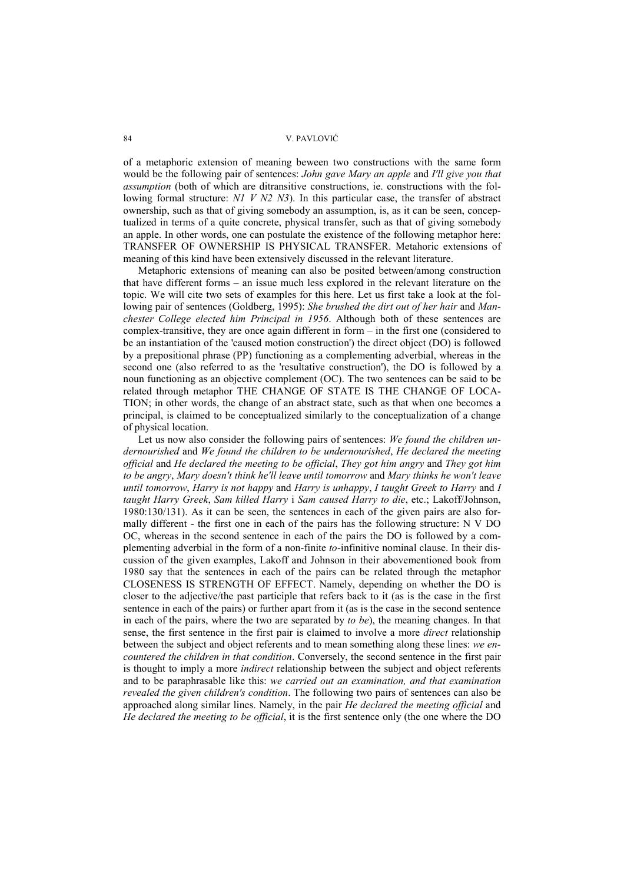of a metaphoric extension of meaning beween two constructions with the same form would be the following pair of sentences: *John gave Mary an apple* and *I'll give you that assumption* (both of which are ditransitive constructions, ie. constructions with the following formal structure: *N1 V N2 N3*). In this particular case, the transfer of abstract ownership, such as that of giving somebody an assumption, is, as it can be seen, conceptualized in terms of a quite concrete, physical transfer, such as that of giving somebody an apple. In other words, one can postulate the existence of the following metaphor here: TRANSFER OF OWNERSHIP IS PHYSICAL TRANSFER. Metahoric extensions of meaning of this kind have been extensively discussed in the relevant literature.

Metaphoric extensions of meaning can also be posited between/among construction that have different forms – an issue much less explored in the relevant literature on the topic. We will cite two sets of examples for this here. Let us first take a look at the following pair of sentences (Goldberg, 1995): *She brushed the dirt out of her hair* and *Manchester College elected him Principal in 1956*. Although both of these sentences are complex-transitive, they are once again different in form – in the first one (considered to be an instantiation of the 'caused motion construction') the direct object (DO) is followed by a prepositional phrase (PP) functioning as a complementing adverbial, whereas in the second one (also referred to as the 'resultative construction'), the DO is followed by a noun functioning as an objective complement (OC). The two sentences can be said to be related through metaphor THE CHANGE OF STATE IS THE CHANGE OF LOCA-TION; in other words, the change of an abstract state, such as that when one becomes a principal, is claimed to be conceptualized similarly to the conceptualization of a change of physical location.

Let us now also consider the following pairs of sentences: *We found the children undernourished* and *We found the children to be undernourished*, *He declared the meeting official* and *He declared the meeting to be official*, *They got him angry* and *They got him to be angry*, *Mary doesn't think he'll leave until tomorrow* and *Mary thinks he won't leave until tomorrow*, *Harry is not happy* and *Harry is unhappy*, *I taught Greek to Harry* and *I taught Harry Greek*, *Sam killed Harry* i *Sam caused Harry to die*, etc.; Lakoff/Johnson, 1980:130/131). As it can be seen, the sentences in each of the given pairs are also formally different - the first one in each of the pairs has the following structure: N V DO OC, whereas in the second sentence in each of the pairs the DO is followed by a complementing adverbial in the form of a non-finite *to*-infinitive nominal clause. In their discussion of the given examples, Lakoff and Johnson in their abovementioned book from 1980 say that the sentences in each of the pairs can be related through the metaphor CLOSENESS IS STRENGTH OF EFFECT. Namely, depending on whether the DO is closer to the adjective/the past participle that refers back to it (as is the case in the first sentence in each of the pairs) or further apart from it (as is the case in the second sentence in each of the pairs, where the two are separated by *to be*), the meaning changes. In that sense, the first sentence in the first pair is claimed to involve a more *direct* relationship between the subject and object referents and to mean something along these lines: *we encountered the children in that condition*. Conversely, the second sentence in the first pair is thought to imply a more *indirect* relationship between the subject and object referents and to be paraphrasable like this: *we carried out an examination, and that examination revealed the given children's condition*. The following two pairs of sentences can also be approached along similar lines. Namely, in the pair *He declared the meeting official* and *He declared the meeting to be official*, it is the first sentence only (the one where the DO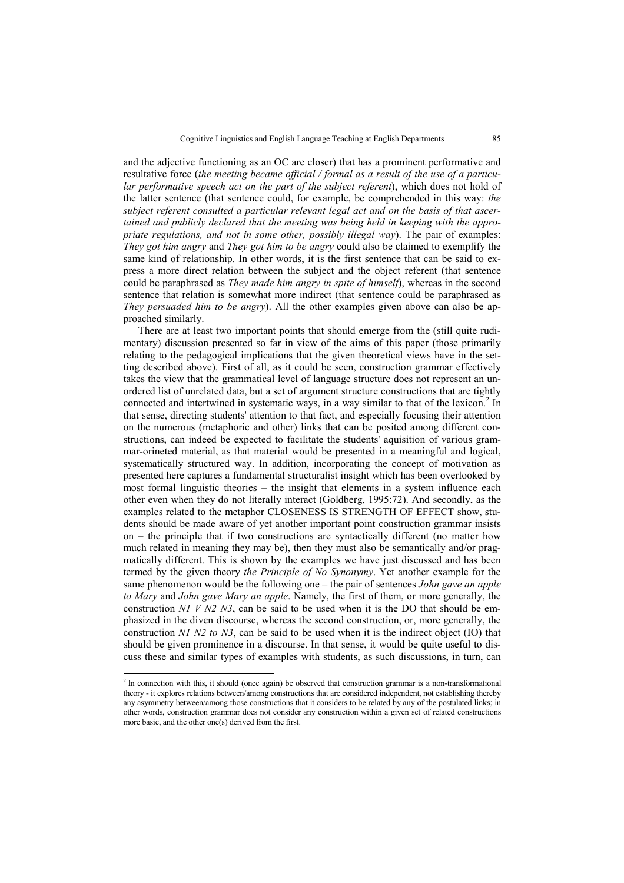and the adjective functioning as an OC are closer) that has a prominent performative and resultative force (*the meeting became official / formal as a result of the use of a particular performative speech act on the part of the subject referent*), which does not hold of the latter sentence (that sentence could, for example, be comprehended in this way: *the subject referent consulted a particular relevant legal act and on the basis of that ascertained and publicly declared that the meeting was being held in keeping with the appropriate regulations, and not in some other, possibly illegal way*). The pair of examples: *They got him angry* and *They got him to be angry* could also be claimed to exemplify the same kind of relationship. In other words, it is the first sentence that can be said to express a more direct relation between the subject and the object referent (that sentence could be paraphrased as *They made him angry in spite of himself*), whereas in the second sentence that relation is somewhat more indirect (that sentence could be paraphrased as *They persuaded him to be angry*). All the other examples given above can also be approached similarly.

There are at least two important points that should emerge from the (still quite rudimentary) discussion presented so far in view of the aims of this paper (those primarily relating to the pedagogical implications that the given theoretical views have in the setting described above). First of all, as it could be seen, construction grammar effectively takes the view that the grammatical level of language structure does not represent an unordered list of unrelated data, but a set of argument structure constructions that are tightly connected and intertwined in systematic ways, in a way similar to that of the lexicon.<sup>2</sup> In that sense, directing students' attention to that fact, and especially focusing their attention on the numerous (metaphoric and other) links that can be posited among different constructions, can indeed be expected to facilitate the students' aquisition of various grammar-orineted material, as that material would be presented in a meaningful and logical, systematically structured way. In addition, incorporating the concept of motivation as presented here captures a fundamental structuralist insight which has been overlooked by most formal linguistic theories – the insight that elements in a system influence each other even when they do not literally interact (Goldberg, 1995:72). And secondly, as the examples related to the metaphor CLOSENESS IS STRENGTH OF EFFECT show, students should be made aware of yet another important point construction grammar insists on – the principle that if two constructions are syntactically different (no matter how much related in meaning they may be), then they must also be semantically and/or pragmatically different. This is shown by the examples we have just discussed and has been termed by the given theory *the Principle of No Synonymy*. Yet another example for the same phenomenon would be the following one – the pair of sentences *John gave an apple to Mary* and *John gave Mary an apple*. Namely, the first of them, or more generally, the construction *N1 V N2 N3*, can be said to be used when it is the DO that should be emphasized in the diven discourse, whereas the second construction, or, more generally, the construction *N1 N2 to N3*, can be said to be used when it is the indirect object (IO) that should be given prominence in a discourse. In that sense, it would be quite useful to discuss these and similar types of examples with students, as such discussions, in turn, can

<sup>&</sup>lt;sup>2</sup> In connection with this, it should (once again) be observed that construction grammar is a non-transformational theory - it explores relations between/among constructions that are considered independent, not establishing thereby any asymmetry between/among those constructions that it considers to be related by any of the postulated links; in other words, construction grammar does not consider any construction within a given set of related constructions more basic, and the other one(s) derived from the first.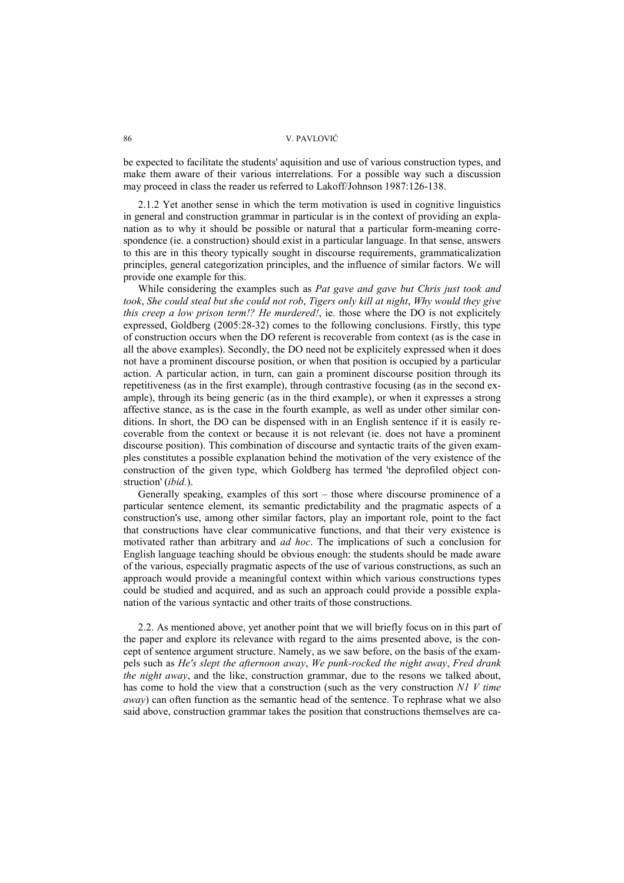be expected to facilitate the students' aquisition and use of various construction types, and make them aware of their various interrelations. For a possible way such a discussion may proceed in class the reader us referred to Lakoff/Johnson 1987:126-138.

2.1.2 Yet another sense in which the term motivation is used in cognitive linguistics in general and construction grammar in particular is in the context of providing an explanation as to why it should be possible or natural that a particular form-meaning correspondence (ie. a construction) should exist in a particular language. In that sense, answers to this are in this theory typically sought in discourse requirements, grammaticalization principles, general categorization principles, and the influence of similar factors. We will provide one example for this.

While considering the examples such as *Pat gave and gave but Chris just took and took*, *She could steal but she could not rob*, *Tigers only kill at night*, *Why would they give this creep a low prison term!? He murdered!*, ie. those where the DO is not explicitely expressed, Goldberg (2005:28-32) comes to the following conclusions. Firstly, this type of construction occurs when the DO referent is recoverable from context (as is the case in all the above examples). Secondly, the DO need not be explicitely expressed when it does not have a prominent discourse position, or when that position is occupied by a particular action. A particular action, in turn, can gain a prominent discourse position through its repetitiveness (as in the first example), through contrastive focusing (as in the second example), through its being generic (as in the third example), or when it expresses a strong affective stance, as is the case in the fourth example, as well as under other similar conditions. In short, the DO can be dispensed with in an English sentence if it is easily recoverable from the context or because it is not relevant (ie. does not have a prominent discourse position). This combination of discourse and syntactic traits of the given examples constitutes a possible explanation behind the motivation of the very existence of the construction of the given type, which Goldberg has termed 'the deprofiled object construction' (*ibid.*).

Generally speaking, examples of this sort – those where discourse prominence of a particular sentence element, its semantic predictability and the pragmatic aspects of a construction's use, among other similar factors, play an important role, point to the fact that constructions have clear communicative functions, and that their very existence is motivated rather than arbitrary and *ad hoc*. The implications of such a conclusion for English language teaching should be obvious enough: the students should be made aware of the various, especially pragmatic aspects of the use of various constructions, as such an approach would provide a meaningful context within which various constructions types could be studied and acquired, and as such an approach could provide a possible explanation of the various syntactic and other traits of those constructions.

2.2. As mentioned above, yet another point that we will briefly focus on in this part of the paper and explore its relevance with regard to the aims presented above, is the concept of sentence argument structure. Namely, as we saw before, on the basis of the exampels such as *He's slept the afternoon away*, *We punk-rocked the night away*, *Fred drank the night away*, and the like, construction grammar, due to the resons we talked about, has come to hold the view that a construction (such as the very construction *N1 V time away*) can often function as the semantic head of the sentence. To rephrase what we also said above, construction grammar takes the position that constructions themselves are ca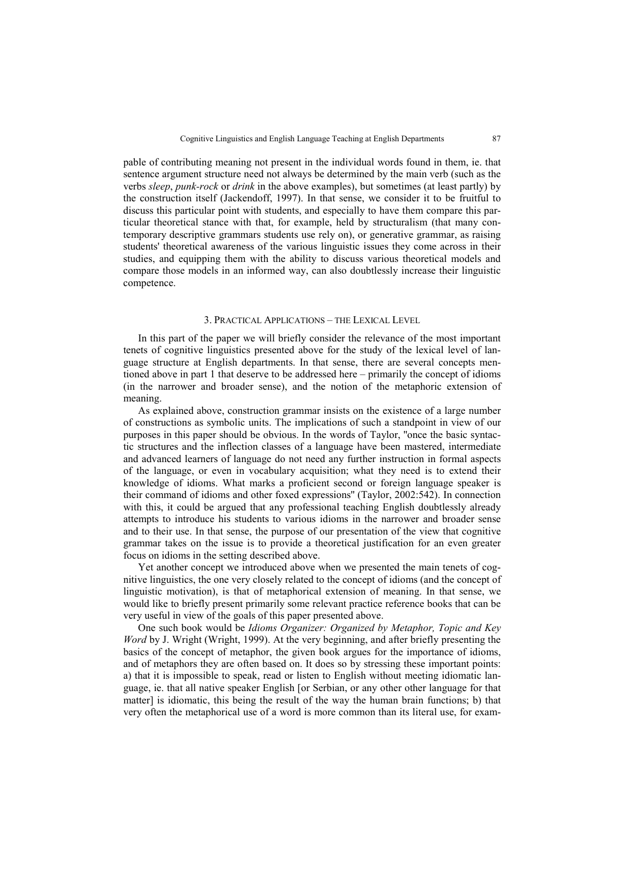pable of contributing meaning not present in the individual words found in them, ie. that sentence argument structure need not always be determined by the main verb (such as the verbs *sleep*, *punk-rock* or *drink* in the above examples), but sometimes (at least partly) by the construction itself (Jackendoff, 1997). In that sense, we consider it to be fruitful to discuss this particular point with students, and especially to have them compare this particular theoretical stance with that, for example, held by structuralism (that many contemporary descriptive grammars students use rely on), or generative grammar, as raising students' theoretical awareness of the various linguistic issues they come across in their studies, and equipping them with the ability to discuss various theoretical models and compare those models in an informed way, can also doubtlessly increase their linguistic competence.

#### 3. PRACTICAL APPLICATIONS – THE LEXICAL LEVEL

In this part of the paper we will briefly consider the relevance of the most important tenets of cognitive linguistics presented above for the study of the lexical level of language structure at English departments. In that sense, there are several concepts mentioned above in part 1 that deserve to be addressed here – primarily the concept of idioms (in the narrower and broader sense), and the notion of the metaphoric extension of meaning.

As explained above, construction grammar insists on the existence of a large number of constructions as symbolic units. The implications of such a standpoint in view of our purposes in this paper should be obvious. In the words of Taylor, ''once the basic syntactic structures and the inflection classes of a language have been mastered, intermediate and advanced learners of language do not need any further instruction in formal aspects of the language, or even in vocabulary acquisition; what they need is to extend their knowledge of idioms. What marks a proficient second or foreign language speaker is their command of idioms and other foxed expressions'' (Taylor, 2002:542). In connection with this, it could be argued that any professional teaching English doubtlessly already attempts to introduce his students to various idioms in the narrower and broader sense and to their use. In that sense, the purpose of our presentation of the view that cognitive grammar takes on the issue is to provide a theoretical justification for an even greater focus on idioms in the setting described above.

Yet another concept we introduced above when we presented the main tenets of cognitive linguistics, the one very closely related to the concept of idioms (and the concept of linguistic motivation), is that of metaphorical extension of meaning. In that sense, we would like to briefly present primarily some relevant practice reference books that can be very useful in view of the goals of this paper presented above.

One such book would be *Idioms Organizer: Organized by Metaphor, Topic and Key Word* by J. Wright (Wright, 1999). At the very beginning, and after briefly presenting the basics of the concept of metaphor, the given book argues for the importance of idioms, and of metaphors they are often based on. It does so by stressing these important points: a) that it is impossible to speak, read or listen to English without meeting idiomatic language, ie. that all native speaker English [or Serbian, or any other other language for that matter] is idiomatic, this being the result of the way the human brain functions; b) that very often the metaphorical use of a word is more common than its literal use, for exam-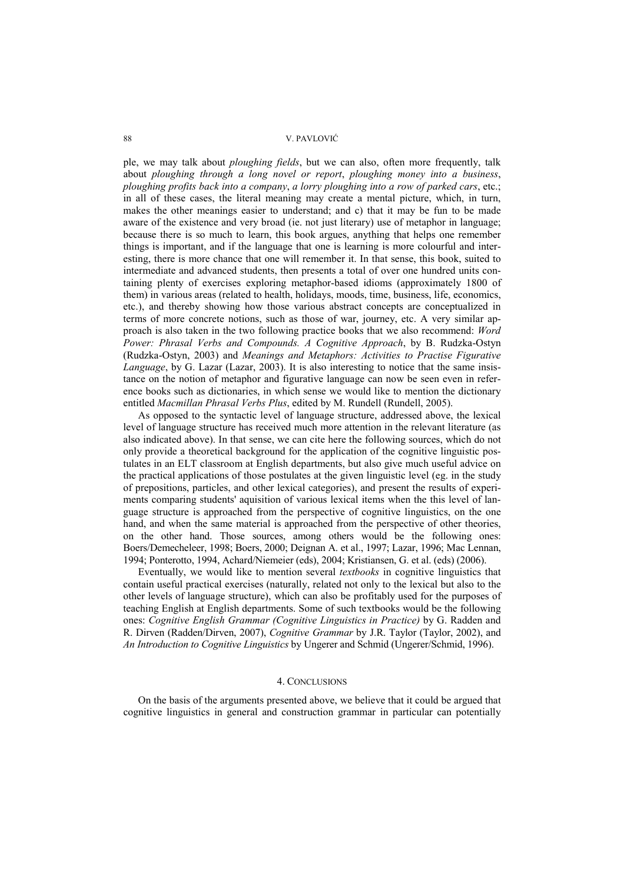ple, we may talk about *ploughing fields*, but we can also, often more frequently, talk about *ploughing through a long novel or report*, *ploughing money into a business*, *ploughing profits back into a company*, *a lorry ploughing into a row of parked cars*, etc.; in all of these cases, the literal meaning may create a mental picture, which, in turn, makes the other meanings easier to understand; and c) that it may be fun to be made aware of the existence and very broad (ie. not just literary) use of metaphor in language; because there is so much to learn, this book argues, anything that helps one remember things is important, and if the language that one is learning is more colourful and interesting, there is more chance that one will remember it. In that sense, this book, suited to intermediate and advanced students, then presents a total of over one hundred units containing plenty of exercises exploring metaphor-based idioms (approximately 1800 of them) in various areas (related to health, holidays, moods, time, business, life, economics, etc.), and thereby showing how those various abstract concepts are conceptualized in terms of more concrete notions, such as those of war, journey, etc. A very similar approach is also taken in the two following practice books that we also recommend: *Word Power: Phrasal Verbs and Compounds. A Cognitive Approach*, by B. Rudzka-Ostyn (Rudzka-Ostyn, 2003) and *Meanings and Metaphors: Activities to Practise Figurative Language*, by G. Lazar (Lazar, 2003). It is also interesting to notice that the same insistance on the notion of metaphor and figurative language can now be seen even in reference books such as dictionaries, in which sense we would like to mention the dictionary entitled *Macmillan Phrasal Verbs Plus*, edited by M. Rundell (Rundell, 2005).

As opposed to the syntactic level of language structure, addressed above, the lexical level of language structure has received much more attention in the relevant literature (as also indicated above). In that sense, we can cite here the following sources, which do not only provide a theoretical background for the application of the cognitive linguistic postulates in an ELT classroom at English departments, but also give much useful advice on the practical applications of those postulates at the given linguistic level (eg. in the study of prepositions, particles, and other lexical categories), and present the results of experiments comparing students' aquisition of various lexical items when the this level of language structure is approached from the perspective of cognitive linguistics, on the one hand, and when the same material is approached from the perspective of other theories, on the other hand. Those sources, among others would be the following ones: Boers/Demecheleer, 1998; Boers, 2000; Deignan A. et al., 1997; Lazar, 1996; Mac Lennan, 1994; Ponterotto, 1994, Achard/Niemeier (eds), 2004; Kristiansen, G. et al. (eds) (2006).

Eventually, we would like to mention several *textbooks* in cognitive linguistics that contain useful practical exercises (naturally, related not only to the lexical but also to the other levels of language structure), which can also be profitably used for the purposes of teaching English at English departments. Some of such textbooks would be the following ones: *Cognitive English Grammar (Cognitive Linguistics in Practice)* by G. Radden and R. Dirven (Radden/Dirven, 2007), *Cognitive Grammar* by J.R. Taylor (Taylor, 2002), and *An Introduction to Cognitive Linguistics* by Ungerer and Schmid (Ungerer/Schmid, 1996).

### 4. CONCLUSIONS

On the basis of the arguments presented above, we believe that it could be argued that cognitive linguistics in general and construction grammar in particular can potentially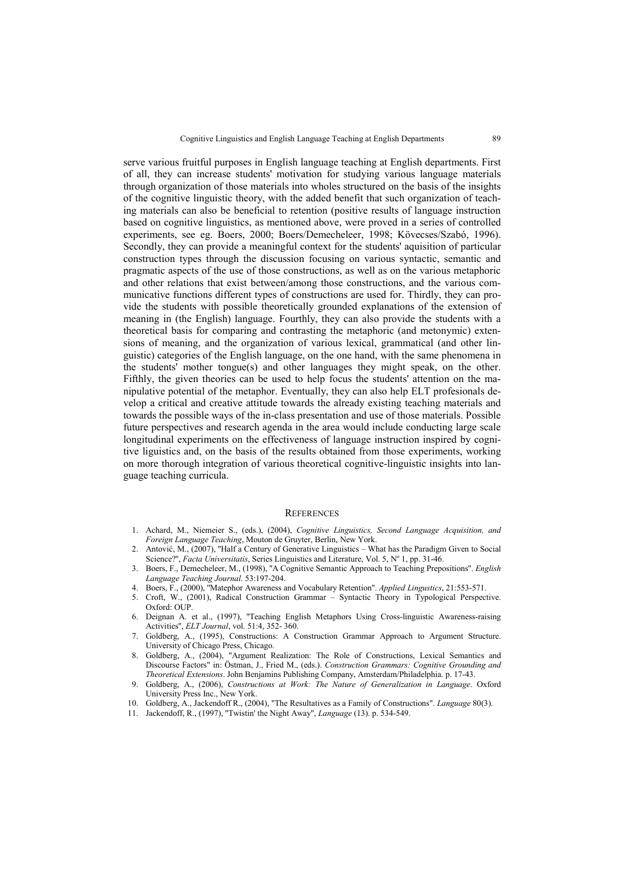serve various fruitful purposes in English language teaching at English departments. First of all, they can increase students' motivation for studying various language materials through organization of those materials into wholes structured on the basis of the insights of the cognitive linguistic theory, with the added benefit that such organization of teaching materials can also be beneficial to retention (positive results of language instruction based on cognitive linguistics, as mentioned above, were proved in a series of controlled experiments, see eg. Boers, 2000; Boers/Demecheleer, 1998; Kövecses/Szabó, 1996). Secondly, they can provide a meaningful context for the students' aquisition of particular construction types through the discussion focusing on various syntactic, semantic and pragmatic aspects of the use of those constructions, as well as on the various metaphoric and other relations that exist between/among those constructions, and the various communicative functions different types of constructions are used for. Thirdly, they can provide the students with possible theoretically grounded explanations of the extension of meaning in (the English) language. Fourthly, they can also provide the students with a theoretical basis for comparing and contrasting the metaphoric (and metonymic) extensions of meaning, and the organization of various lexical, grammatical (and other linguistic) categories of the English language, on the one hand, with the same phenomena in the students' mother tongue(s) and other languages they might speak, on the other. Fifthly, the given theories can be used to help focus the students' attention on the manipulative potential of the metaphor. Eventually, they can also help ELT profesionals develop a critical and creative attitude towards the already existing teaching materials and towards the possible ways of the in-class presentation and use of those materials. Possible future perspectives and research agenda in the area would include conducting large scale longitudinal experiments on the effectiveness of language instruction inspired by cognitive liguistics and, on the basis of the results obtained from those experiments, working on more thorough integration of various theoretical cognitive-linguistic insights into language teaching curricula.

#### **REFERENCES**

- 1. Achard, M., Niemeier S., (eds.), (2004), *Cognitive Linguistics, Second Language Acquisition, and Foreign Language Teaching*, Mouton de Gruyter, Berlin, New York.
- 2. Antović, M., (2007), ''Half a Century of Generative Linguistics What has the Paradigm Given to Social Science?", *Facta Universitatis*, Series Linguistics and Literature, Vol. 5, Nº 1, pp. 31-46.
- 3. Boers, F., Demecheleer, M., (1998), ''A Cognitive Semantic Approach to Teaching Prepositions''. *English Language Teaching Journal*. 53:197-204.
- 4. Boers, F., (2000), ''Matephor Awareness and Vocabulary Retention''. *Applied Lingustics*, 21:553-571.
- 5. Croft, W., (2001), Radical Construction Grammar Syntactic Theory in Typological Perspective. Oxford: OUP.
- 6. Deignan A. et al., (1997), ''Teaching English Metaphors Using Cross-linguistic Awareness-raising Activities'', *ELT Journal*, vol. 51:4, 352- 360.
- 7. Goldberg, A., (1995), Constructions: A Construction Grammar Approach to Argument Structure. University of Chicago Press, Chicago.
- 8. Goldberg, A., (2004), "Argument Realization: The Role of Constructions, Lexical Semantics and Discourse Factors" in: Östman, J., Fried M., (eds.). *Construction Grammars: Cognitive Grounding and Theoretical Extensions*. John Benjamins Publishing Company, Amsterdam/Philadelphia. p. 17-43.
- 9. Goldberg, A., (2006), *Constructions at Work: The Nature of Generalization in Language*. Oxford University Press Inc., New York.
- 10. Goldberg, A., Jackendoff R., (2004), "The Resultatives as a Family of Constructions". *Language* 80(3).
- 11. Jackendoff, R., (1997), ''Twistin' the Night Away'', *Language* (13). p. 534-549.